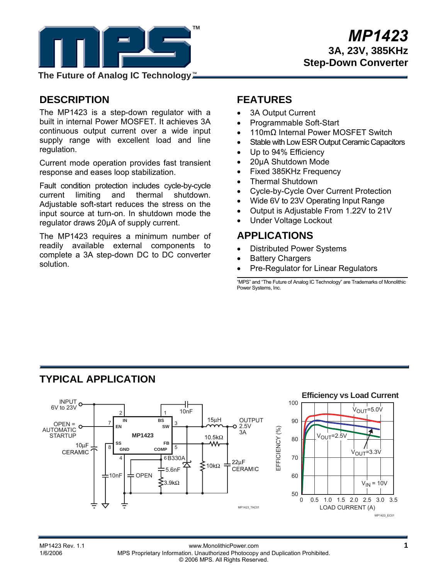

**The Future of Analog IC Technology**™

# **DESCRIPTION**

The MP1423 is a step-down regulator with a built in internal Power MOSFET. It achieves 3A continuous output current over a wide input supply range with excellent load and line regulation.

Current mode operation provides fast transient response and eases loop stabilization.

Fault condition protection includes cycle-by-cycle current limiting and thermal shutdown. Adjustable soft-start reduces the stress on the input source at turn-on. In shutdown mode the regulator draws 20µA of supply current.

The MP1423 requires a minimum number of readily available external components to complete a 3A step-down DC to DC converter solution.

# **FEATURES**

- 3A Output Current
- Programmable Soft-Start
- 110mΩ Internal Power MOSFET Switch
- Stable with Low ESR Output Ceramic Capacitors
- Up to 94% Efficiency
- 20µA Shutdown Mode
- Fixed 385KHz Frequency
- Thermal Shutdown
- Cycle-by-Cycle Over Current Protection
- Wide 6V to 23V Operating Input Range
- Output is Adjustable From 1.22V to 21V
- Under Voltage Lockout

### **APPLICATIONS**

- Distributed Power Systems
- **Battery Chargers**
- Pre-Regulator for Linear Regulators

"MPS" and "The Future of Analog IC Technology" are Trademarks of Monolithic Power Systems, Inc.

# **TYPICAL APPLICATION**



MP1423 Rev. 1.1 www.MonolithicPower.com **1** 1/6/2006 MPS Proprietary Information. Unauthorized Photocopy and Duplication Prohibited. © 2006 MPS. All Rights Reserved.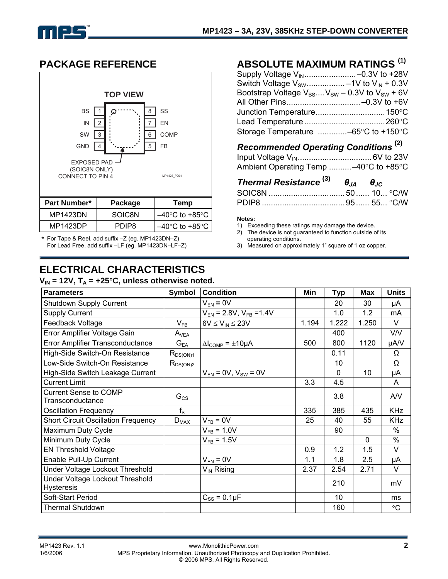

## **PACKAGE REFERENCE**



\* For Tape & Reel, add suffix –Z (eg. MP1423DN–Z) For Lead Free, add suffix –LF (eg. MP1423DN–LF–Z)

# **ELECTRICAL CHARACTERISTICS**

### $V_{\text{in}}$  = 12V,  $T_{\text{A}}$  =  $+25^{\circ}$ C, unless otherwise noted.

## **ABSOLUTE MAXIMUM RATINGS (1)**

| Supply Voltage V <sub>IN</sub> -0.3V to +28V                |  |
|-------------------------------------------------------------|--|
| Switch Voltage $V_{SW}$ -1V to $V_{IN}$ + 0.3V              |  |
| Bootstrap Voltage $V_{BS}$ $V_{SW}$ – 0.3V to $V_{SW}$ + 6V |  |
| All Other Pins-0.3V to +6V                                  |  |
| Junction Temperature 150°C                                  |  |
|                                                             |  |
| Storage Temperature $\ldots$ -65°C to +150°C                |  |

# *Recommended Operating Conditions* **(2)**

| Ambient Operating Temp -40°C to +85°C |  |
|---------------------------------------|--|

| Thermal Resistance $^{(3)}$ $\theta_{JA}$ $\theta_{JC}$ |  |  |
|---------------------------------------------------------|--|--|
|                                                         |  |  |
|                                                         |  |  |

#### **Notes:**

1) Exceeding these ratings may damage the device.<br>2) The device is not quaranteed to function outside of

The device is not guaranteed to function outside of its operating conditions.

3) Measured on approximately 1" square of 1 oz copper.

| <b>Parameters</b>                                    | Symbol        | <b>Condition</b>                        | Min   | Typ      | Max          | <b>Units</b> |
|------------------------------------------------------|---------------|-----------------------------------------|-------|----------|--------------|--------------|
| Shutdown Supply Current                              |               | $V_{EN} = 0V$                           |       | 20       | 30           | μA           |
| <b>Supply Current</b>                                |               | $V_{EN}$ = 2.8V, $V_{FB}$ = 1.4V        |       | 1.0      | 1.2          | mA           |
| Feedback Voltage                                     | $V_{FB}$      | $6V \leq V_{IN} \leq 23V$               | 1.194 | 1.222    | 1.250        | V            |
| Error Amplifier Voltage Gain                         | $A_{VEA}$     |                                         |       | 400      |              | V/V          |
| Error Amplifier Transconductance                     | $G_{EA}$      | $\Delta l_{\text{COMP}} = \pm 10 \mu A$ | 500   | 800      | 1120         | µA/V         |
| High-Side Switch-On Resistance                       | $R_{DS(ON)1}$ |                                         |       | 0.11     |              | Ω            |
| Low-Side Switch-On Resistance                        | $R_{DS(ON)2}$ |                                         |       | 10       |              | Ω            |
| High-Side Switch Leakage Current                     |               | $V_{EN} = 0V$ , $V_{SW} = 0V$           |       | $\Omega$ | 10           | μA           |
| <b>Current Limit</b>                                 |               |                                         | 3.3   | 4.5      |              | A            |
| <b>Current Sense to COMP</b><br>Transconductance     | $G_{CS}$      |                                         |       | 3.8      |              | A/V          |
| <b>Oscillation Frequency</b>                         | $f_{\rm S}$   |                                         | 335   | 385      | 435          | <b>KHz</b>   |
| <b>Short Circuit Oscillation Frequency</b>           | $D_{MAX}$     | $V_{FB} = 0V$                           | 25    | 40       | 55           | <b>KHz</b>   |
| Maximum Duty Cycle                                   |               | $V_{FB} = 1.0 V$                        |       | 90       |              | $\%$         |
| Minimum Duty Cycle                                   |               | $V_{FB} = 1.5V$                         |       |          | $\mathbf{0}$ | $\%$         |
| <b>EN Threshold Voltage</b>                          |               |                                         | 0.9   | 1.2      | 1.5          | V            |
| Enable Pull-Up Current                               |               | $V_{EN} = 0V$                           | 1.1   | 1.8      | 2.5          | μA           |
| Under Voltage Lockout Threshold                      |               | $V_{IN}$ Rising                         | 2.37  | 2.54     | 2.71         | $\vee$       |
| Under Voltage Lockout Threshold<br><b>Hysteresis</b> |               |                                         |       | 210      |              | mV           |
| Soft-Start Period                                    |               | $C_{SS}$ = 0.1 $\mu$ F                  |       | 10       |              | ms           |
| <b>Thermal Shutdown</b>                              |               |                                         |       | 160      |              | $\circ$ C    |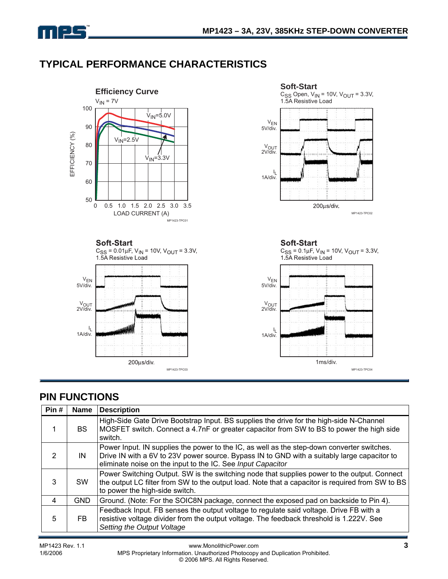

# **TYPICAL PERFORMANCE CHARACTERISTICS**



# **PIN FUNCTIONS**

| Pin# | <b>Name</b> | <b>Description</b>                                                                                                                                                                                                                                       |
|------|-------------|----------------------------------------------------------------------------------------------------------------------------------------------------------------------------------------------------------------------------------------------------------|
|      | BS.         | High-Side Gate Drive Bootstrap Input. BS supplies the drive for the high-side N-Channel<br>MOSFET switch. Connect a 4.7nF or greater capacitor from SW to BS to power the high side<br>switch.                                                           |
| 2    | IN          | Power Input. IN supplies the power to the IC, as well as the step-down converter switches.<br>Drive IN with a 6V to 23V power source. Bypass IN to GND with a suitably large capacitor to<br>eliminate noise on the input to the IC. See Input Capacitor |
| 3    | <b>SW</b>   | Power Switching Output. SW is the switching node that supplies power to the output. Connect<br>the output LC filter from SW to the output load. Note that a capacitor is required from SW to BS<br>to power the high-side switch.                        |
| 4    | <b>GND</b>  | Ground. (Note: For the SOIC8N package, connect the exposed pad on backside to Pin 4).                                                                                                                                                                    |
| 5    | FB.         | Feedback Input. FB senses the output voltage to regulate said voltage. Drive FB with a<br>resistive voltage divider from the output voltage. The feedback threshold is 1.222V. See<br>Setting the Output Voltage                                         |

MP1423 Rev. 1.1 **MPS Proprietary Information.** Unauthorized Photocopy and Duplication Prohibited. **3 3 3** MPS Proprietary Information. Unauthorized Photocopy and Duplication Prohibited. © 2006 MPS. All Rights Reserved.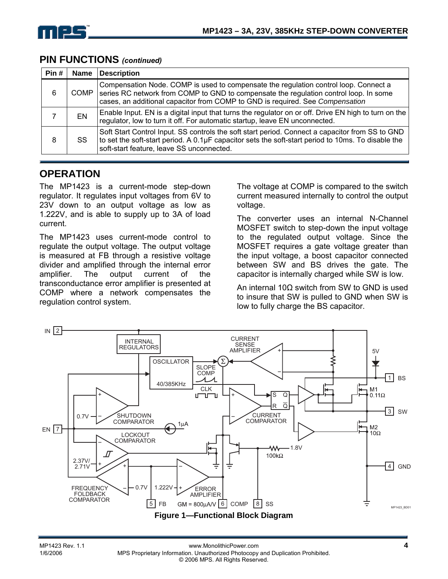

| Pin# | <b>Name</b> | <b>Description</b>                                                                                                                                                                                                                                             |
|------|-------------|----------------------------------------------------------------------------------------------------------------------------------------------------------------------------------------------------------------------------------------------------------------|
| 6    | COMP.       | Compensation Node. COMP is used to compensate the regulation control loop. Connect a<br>series RC network from COMP to GND to compensate the regulation control loop. In some<br>cases, an additional capacitor from COMP to GND is required. See Compensation |
|      | ΕN          | Enable Input. EN is a digital input that turns the regulator on or off. Drive EN high to turn on the<br>regulator, low to turn it off. For automatic startup, leave EN unconnected.                                                                            |
| 8    | SS          | Soft Start Control Input. SS controls the soft start period. Connect a capacitor from SS to GND<br>to set the soft-start period. A 0.1µF capacitor sets the soft-start period to 10ms. To disable the<br>soft-start feature, leave SS unconnected.             |

### **PIN FUNCTIONS** *(continued)*

## **OPERATION**

The MP1423 is a current-mode step-down regulator. It regulates input voltages from 6V to 23V down to an output voltage as low as 1.222V, and is able to supply up to 3A of load current.

The MP1423 uses current-mode control to regulate the output voltage. The output voltage is measured at FB through a resistive voltage divider and amplified through the internal error amplifier. The output current of the transconductance error amplifier is presented at COMP where a network compensates the regulation control system.

The voltage at COMP is compared to the switch current measured internally to control the output voltage.

The converter uses an internal N-Channel MOSFET switch to step-down the input voltage to the regulated output voltage. Since the MOSFET requires a gate voltage greater than the input voltage, a boost capacitor connected between SW and BS drives the gate. The capacitor is internally charged while SW is low.

An internal 10Ω switch from SW to GND is used to insure that SW is pulled to GND when SW is low to fully charge the BS capacitor.

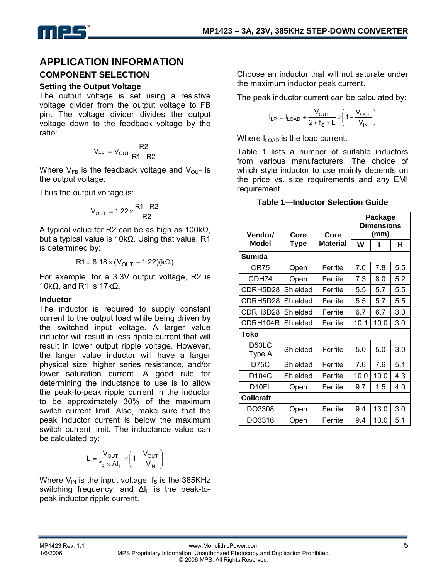

# **APPLICATION INFORMATION**

### **COMPONENT SELECTION**

### **Setting the Output Voltage**

The output voltage is set using a resistive voltage divider from the output voltage to FB pin. The voltage divider divides the output voltage down to the feedback voltage by the ratio:

$$
V_{FB} = V_{OUT} \frac{R2}{R1 + R2}
$$

Where  $V_{FB}$  is the feedback voltage and  $V_{OUT}$  is the output voltage.

Thus the output voltage is:

$$
V_{OUT} = 1.22 \times \frac{R1 + R2}{R2}
$$

A typical value for R2 can be as high as 100kΩ, but a typical value is 10kΩ. Using that value, R1 is determined by:

$$
R1 = 8.18 \times (V_{OUT} - 1.22)(k\Omega)
$$

For example, for a 3.3V output voltage, R2 is 10kΩ, and R1 is 17kΩ.

### **Inductor**

The inductor is required to supply constant current to the output load while being driven by the switched input voltage. A larger value inductor will result in less ripple current that will result in lower output ripple voltage. However, the larger value inductor will have a larger physical size, higher series resistance, and/or lower saturation current. A good rule for determining the inductance to use is to allow the peak-to-peak ripple current in the inductor to be approximately 30% of the maximum switch current limit. Also, make sure that the peak inductor current is below the maximum switch current limit. The inductance value can be calculated by:

$$
L = \frac{V_{OUT}}{f_S \times \Delta I_L} \times \left(1 - \frac{V_{OUT}}{V_{IN}}\right)
$$

Where  $V_{\text{IN}}$  is the input voltage,  $f_{\text{S}}$  is the 385KHz switching frequency, and  $\Delta I_L$  is the peak-topeak inductor ripple current.

Choose an inductor that will not saturate under the maximum inductor peak current.

The peak inductor current can be calculated by:

$$
I_{LP} = I_{LOAD} + \frac{V_{OUT}}{2 \times f_S \times L} \times \left(1 - \frac{V_{OUT}}{V_{IN}}\right)
$$

Where  $I_{\text{LOAD}}$  is the load current.

Table 1 lists a number of suitable inductors from various manufacturers. The choice of which style inductor to use mainly depends on the price vs. size requirements and any EMI requirement.

### **Table 1—Inductor Selection Guide**

| <b>Vendor/</b>   | Core        | Core            | Package<br><b>Dimensions</b><br>(mm) |      |     |
|------------------|-------------|-----------------|--------------------------------------|------|-----|
| <b>Model</b>     | <b>Type</b> | <b>Material</b> | W                                    | L    | н   |
| Sumida           |             |                 |                                      |      |     |
| CR75             | Open        | Ferrite         | 7.0                                  | 7.8  | 5.5 |
| CDH74            | Open        | Ferrite         | 7.3                                  | 8.0  | 5.2 |
| CDRH5D28         | Shielded    | Ferrite         | 5.5                                  | 5.7  | 5.5 |
| CDRH5D28         | Shielded    | Ferrite         | 5.5                                  | 5.7  | 5.5 |
| CDRH6D28         | Shielded    | Ferrite         | 6.7                                  | 6.7  | 3.0 |
| CDRH104R         | Shielded    | Ferrite         | 10.1                                 | 10.0 | 3.0 |
| Toko             |             |                 |                                      |      |     |
| D53LC<br>Type A  | Shielded    | Ferrite         | 5.0                                  | 5.0  | 3.0 |
| D75C             | Shielded    | Ferrite         | 7.6                                  | 7.6  | 5.1 |
| D104C            | Shielded    | Ferrite         | 10.0                                 | 10.0 | 4.3 |
| D10FL            | Open        | Ferrite         | 9.7                                  | 1.5  | 4.0 |
| <b>Coilcraft</b> |             |                 |                                      |      |     |
| DO3308           | Open        | Ferrite         | 9.4                                  | 13.0 | 3.0 |
| DO3316           | Open        | Ferrite         | 9.4                                  | 13.0 | 5.1 |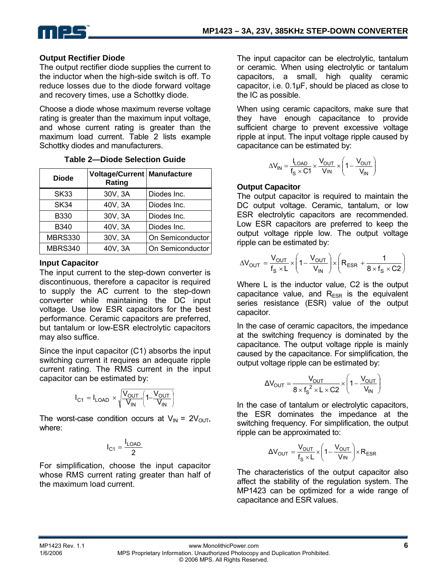

### **Output Rectifier Diode**

The output rectifier diode supplies the current to the inductor when the high-side switch is off. To reduce losses due to the diode forward voltage and recovery times, use a Schottky diode.

Choose a diode whose maximum reverse voltage rating is greater than the maximum input voltage, and whose current rating is greater than the maximum load current. Table 2 lists example Schottky diodes and manufacturers.

| <b>Diode</b>   | <b>Voltage/Current   Manufacture</b><br>Rating |                  |
|----------------|------------------------------------------------|------------------|
| <b>SK33</b>    | 30V, 3A                                        | Diodes Inc.      |
| SK34           | 40V, 3A                                        | Diodes Inc.      |
| <b>B330</b>    | 30V, 3A                                        | Diodes Inc.      |
| B340           | 40V, 3A                                        | Diodes Inc.      |
| <b>MBRS330</b> | 30V, 3A                                        | On Semiconductor |
| MBRS340        | 40V, 3A                                        | On Semiconductor |

### **Table 2—Diode Selection Guide**

### **Input Capacitor**

The input current to the step-down converter is discontinuous, therefore a capacitor is required to supply the AC current to the step-down converter while maintaining the DC input voltage. Use low ESR capacitors for the best performance. Ceramic capacitors are preferred, but tantalum or low-ESR electrolytic capacitors may also suffice.

Since the input capacitor (C1) absorbs the input switching current it requires an adequate ripple current rating. The RMS current in the input capacitor can be estimated by:

$$
I_{C1} = I_{LOAD} \times \sqrt{\frac{V_{OUT}}{V_{IN}} \left(1 - \frac{V_{OUT}}{V_{IN}}\right)}
$$

The worst-case condition occurs at  $V_{IN} = 2V_{OUT}$ , where:

$$
I_{C1} = \frac{I_{LOAD}}{2}
$$

For simplification, choose the input capacitor whose RMS current rating greater than half of the maximum load current.

The input capacitor can be electrolytic, tantalum or ceramic. When using electrolytic or tantalum capacitors, a small, high quality ceramic capacitor, i.e. 0.1µF, should be placed as close to the IC as possible.

When using ceramic capacitors, make sure that they have enough capacitance to provide sufficient charge to prevent excessive voltage ripple at input. The input voltage ripple caused by capacitance can be estimated by:

$$
\Delta V_{IN} = \frac{I_{LOAD}}{f_S \times C1} \times \frac{V_{OUT}}{V_{IN}} \times \left(1 - \frac{V_{OUT}}{V_{IN}}\right)
$$

### **Output Capacitor**

The output capacitor is required to maintain the DC output voltage. Ceramic, tantalum, or low ESR electrolytic capacitors are recommended. Low ESR capacitors are preferred to keep the output voltage ripple low. The output voltage ripple can be estimated by:

$$
\Delta V_{OUT} = \frac{V_{OUT}}{f_s \times L} \times \left(1 - \frac{V_{OUT}}{V_{IN}}\right) \times \left(R_{ESR} + \frac{1}{8 \times f_s \times C2}\right)
$$

Where L is the inductor value, C2 is the output capacitance value, and  $R_{FSR}$  is the equivalent series resistance (ESR) value of the output capacitor.

In the case of ceramic capacitors, the impedance at the switching frequency is dominated by the capacitance. The output voltage ripple is mainly caused by the capacitance. For simplification, the output voltage ripple can be estimated by:

$$
\Delta V_{\text{OUT}} = \frac{V_{\text{OUT}}}{8 \times f_{\text{S}}^2 \times L \times C2} \times \left(1 - \frac{V_{\text{OUT}}}{V_{\text{IN}}}\right)
$$

In the case of tantalum or electrolytic capacitors, the ESR dominates the impedance at the switching frequency. For simplification, the output ripple can be approximated to:

$$
\Delta V_{OUT} = \frac{V_{OUT}}{f_s \times L} \times \left(1 - \frac{V_{OUT}}{V_{IN}}\right) \times R_{ESR}
$$

The characteristics of the output capacitor also affect the stability of the regulation system. The MP1423 can be optimized for a wide range of capacitance and ESR values.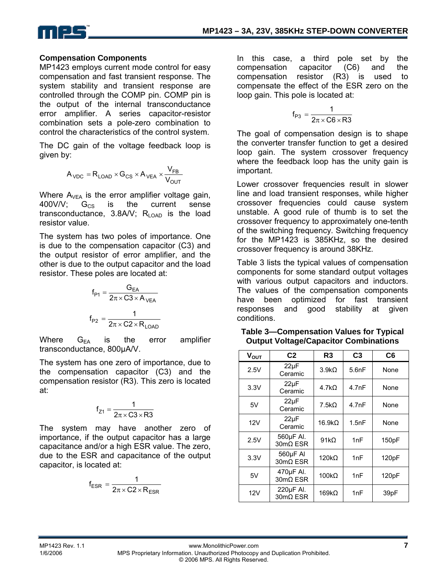

#### **Compensation Components**

MP1423 employs current mode control for easy compensation and fast transient response. The system stability and transient response are controlled through the COMP pin. COMP pin is the output of the internal transconductance error amplifier. A series capacitor-resistor combination sets a pole-zero combination to control the characteristics of the control system.

The DC gain of the voltage feedback loop is given by:

$$
A_{\text{VDC}} = R_{\text{LOAD}} \times G_{\text{CS}} \times A_{\text{VEA}} \times \frac{V_{\text{FB}}}{V_{\text{OUT}}}
$$

Where  $A_{VFA}$  is the error amplifier voltage gain, 400V/V;  $G_{CS}$  is the current sense transconductance,  $3.8$ A/V; R<sub>LOAD</sub> is the load resistor value.

The system has two poles of importance. One is due to the compensation capacitor (C3) and the output resistor of error amplifier, and the other is due to the output capacitor and the load resistor. These poles are located at:

$$
f_{P1} = \frac{G_{EA}}{2\pi \times C3 \times A_{VEA}}
$$

$$
f_{P2} = \frac{1}{2\pi \times C2 \times R_{LOAD}}
$$

Where  $G_{EA}$  is the error amplifier transconductance, 800µA/V.

The system has one zero of importance, due to the compensation capacitor (C3) and the compensation resistor (R3). This zero is located at:

$$
f_{Z1}=\frac{1}{2\pi\times C3\times R3}
$$

The system may have another zero of importance, if the output capacitor has a large capacitance and/or a high ESR value. The zero, due to the ESR and capacitance of the output capacitor, is located at:

$$
f_{ESR} = \frac{1}{2\pi \times C2 \times R_{ESR}}
$$

In this case, a third pole set by the compensation capacitor (C6) and the compensation resistor (R3) is used to compensate the effect of the ESR zero on the loop gain. This pole is located at:

$$
f_{P3}=\frac{1}{2\pi\times C6\times R3}
$$

The goal of compensation design is to shape the converter transfer function to get a desired loop gain. The system crossover frequency where the feedback loop has the unity gain is important.

Lower crossover frequencies result in slower line and load transient responses, while higher crossover frequencies could cause system unstable. A good rule of thumb is to set the crossover frequency to approximately one-tenth of the switching frequency. Switching frequency for the MP1423 is 385KHz, so the desired crossover frequency is around 38KHz.

Table 3 lists the typical values of compensation components for some standard output voltages with various output capacitors and inductors. The values of the compensation components have been optimized for fast transient responses and good stability at given conditions.

**Table 3—Compensation Values for Typical Output Voltage/Capacitor Combinations** 

| $V_{OUT}$ | C <sub>2</sub>        | R <sub>3</sub>     | C <sub>3</sub> | C <sub>6</sub> |
|-----------|-----------------------|--------------------|----------------|----------------|
| 2.5V      | $22\mu F$<br>Ceramic  | $3.9k\Omega$       | 5.6nF          | None           |
| 3.3V      | $22\mu F$<br>Ceramic  | 4.7k <sub>Ω</sub>  | 4.7nF          | None           |
| 5V        | $22\mu F$<br>Ceramic  | 7.5k <sub>Ω</sub>  | 4.7nF          | None           |
| 12V       | $22\mu F$<br>Ceramic  | 16.9k <sub>Ω</sub> | 1.5nF          | None           |
| 2.5V      | 560µF AI.<br>30mΩ ESR | $91k\Omega$        | 1nF            | 150pF          |
| 3.3V      | 560µF AI<br>30mΩ ESR  | $120k\Omega$       | 1nF            | 120pF          |
| 5V        | 470µF AI.<br>30mΩ ESR | $100k\Omega$       | 1nF            | 120pF          |
| 12V       | 220µF AI.<br>30mΩ ESR | $169k\Omega$       | 1nF            | 39pF           |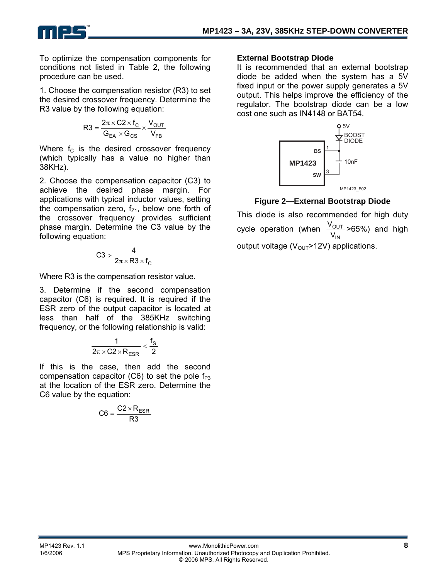To optimize the compensation components for conditions not listed in Table 2, the following procedure can be used.

**TM**

1. Choose the compensation resistor (R3) to set the desired crossover frequency. Determine the R3 value by the following equation:

$$
R3 = \frac{2\pi \times C2 \times f_C}{G_{EA} \times G_{CS}} \times \frac{V_{OUT}}{V_{FB}}
$$

Where  $f_c$  is the desired crossover frequency (which typically has a value no higher than 38KHz).

2. Choose the compensation capacitor (C3) to achieve the desired phase margin. For applications with typical inductor values, setting the compensation zero,  $f<sub>Z1</sub>$ , below one forth of the crossover frequency provides sufficient phase margin. Determine the C3 value by the following equation:

$$
C3>\frac{4}{2\pi\times R3\times f_C}
$$

Where R3 is the compensation resistor value.

3. Determine if the second compensation capacitor (C6) is required. It is required if the ESR zero of the output capacitor is located at less than half of the 385KHz switching frequency, or the following relationship is valid:

$$
\frac{1}{2\pi\times C2\times R_{ESR}}<\frac{f_S}{2}
$$

If this is the case, then add the second compensation capacitor  $(C6)$  to set the pole  $f_{P3}$ at the location of the ESR zero. Determine the C6 value by the equation:

$$
C6 = \frac{C2 \times R_{ESR}}{R3}
$$

#### **External Bootstrap Diode**

It is recommended that an external bootstrap diode be added when the system has a 5V fixed input or the power supply generates a 5V output. This helps improve the efficiency of the regulator. The bootstrap diode can be a low cost one such as IN4148 or BAT54.



**Figure 2—External Bootstrap Diode** 

This diode is also recommended for high duty cycle operation (when IN OUT  $\frac{\rm V_{OUT}}{\rm V_{IN}}$ >65%) and high output voltage  $(V_{OUT} > 12V)$  applications.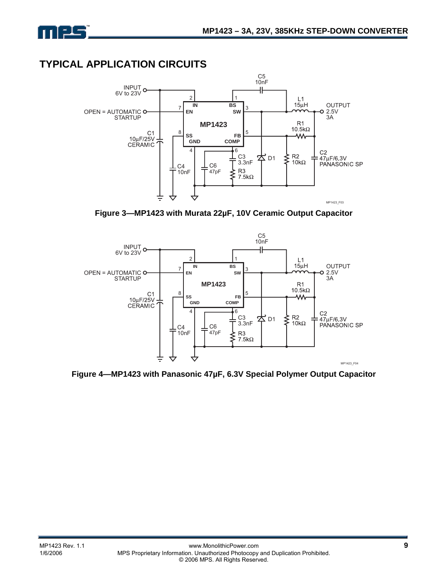

# **TYPICAL APPLICATION CIRCUITS**



**Figure 3—MP1423 with Murata 22µF, 10V Ceramic Output Capacitor** 



**Figure 4—MP1423 with Panasonic 47µF, 6.3V Special Polymer Output Capacitor**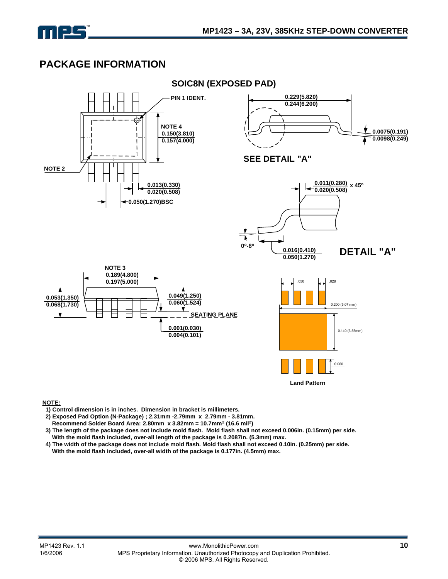

# **PACKAGE INFORMATION**



**NOTE:**

 **1) Control dimension is in inches. Dimension in bracket is millimeters.**

- **2) Exposed Pad Option (N-Package) ; 2.31mm -2.79mm x 2.79mm 3.81mm.**
- **Recommend Solder Board Area: 2.80mm x 3.82mm = 10.7mm2 (16.6 mil2)**
- **3) The length of the package does not include mold flash. Mold flash shall not exceed 0.006in. (0.15mm) per side. With the mold flash included, over-all length of the package is 0.2087in. (5.3mm) max.**
- **4) The width of the package does not include mold flash. Mold flash shall not exceed 0.10in. (0.25mm) per side.**
- **With the mold flash included, over-all width of the package is 0.177in. (4.5mm) max.**